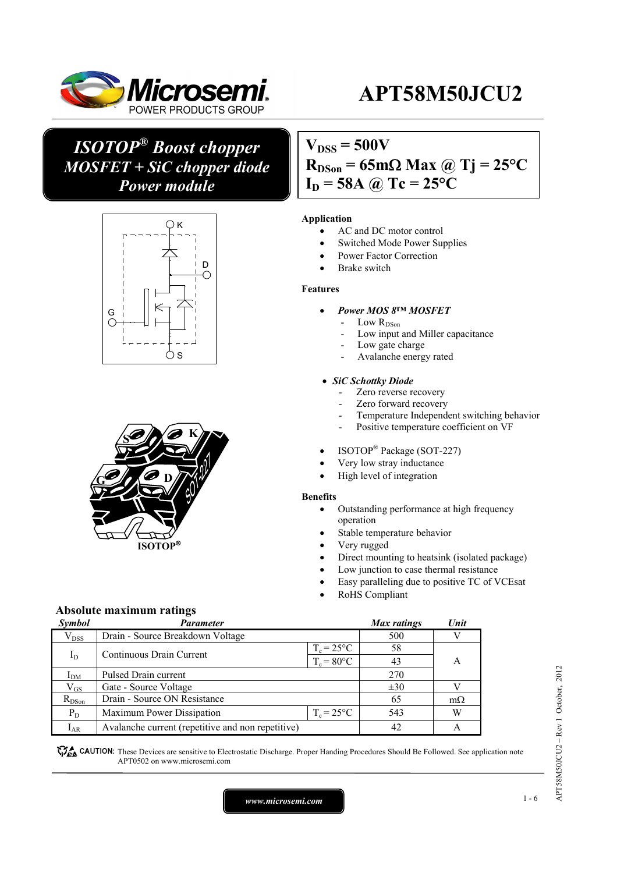

# **APT58M50JCU2**

## *ISOTOP® Boost chopper MOSFET + SiC chopper diode Power module*





## $V_{DSS} = 500V$  $R_{DSon} = 65 \text{m}\Omega \text{ Max } (a)$  Tj = 25<sup>o</sup>C  $I_D = 58A$  @ Tc = 25<sup>o</sup>C

#### **Application**

- AC and DC motor control
- Switched Mode Power Supplies
- Power Factor Correction
- Brake switch

#### **Features**

- *Power MOS 8™ MOSFET* 
	- Low  $R_\mathrm{DSon}$
	- Low input and Miller capacitance
	- Low gate charge
	- Avalanche energy rated

#### *SiC Schottky Diode*

- Zero reverse recovery
- Zero forward recovery
- Temperature Independent switching behavior
- Positive temperature coefficient on VF
- ISOTOP® Package (SOT-227)
- Very low stray inductance
- High level of integration

#### **Benefits**

- Outstanding performance at high frequency operation
- Stable temperature behavior
- Very rugged
- Direct mounting to heatsink (isolated package)
- Low junction to case thermal resistance
- Easy paralleling due to positive TC of VCEsat
- RoHS Compliant

## **Absolute maximum ratings**

| <b>Symbol</b>   | Parameter                                         |                     | Max ratings | Unit      |
|-----------------|---------------------------------------------------|---------------------|-------------|-----------|
| $V_{DSS}$       | Drain - Source Breakdown Voltage                  |                     | 500         |           |
| $I_D$           |                                                   | $T_c = 25^{\circ}C$ | 58          |           |
|                 | Continuous Drain Current                          | $T_c = 80$ °C       | 43          | А         |
| I <sub>DM</sub> | Pulsed Drain current                              | 270                 |             |           |
| $\rm V_{GS}$    | Gate - Source Voltage                             |                     | $\pm 30$    |           |
| $R_{DSon}$      | Drain - Source ON Resistance                      |                     | 65          | $m\Omega$ |
| $P_D$           | Maximum Power Dissipation                         | $T_c = 25^{\circ}C$ | 543         | W         |
| $I_{AR}$        | Avalanche current (repetitive and non repetitive) |                     | 42          |           |

CAUTION: These Devices are sensitive to Electrostatic Discharge. Proper Handing Procedures Should Be Followed. See application note APT0502 on www.microsemi.com

APTS8M50JCU2 - Rev 1 October, 2012 APT58M50JCU2 – Rev 1 October, 2012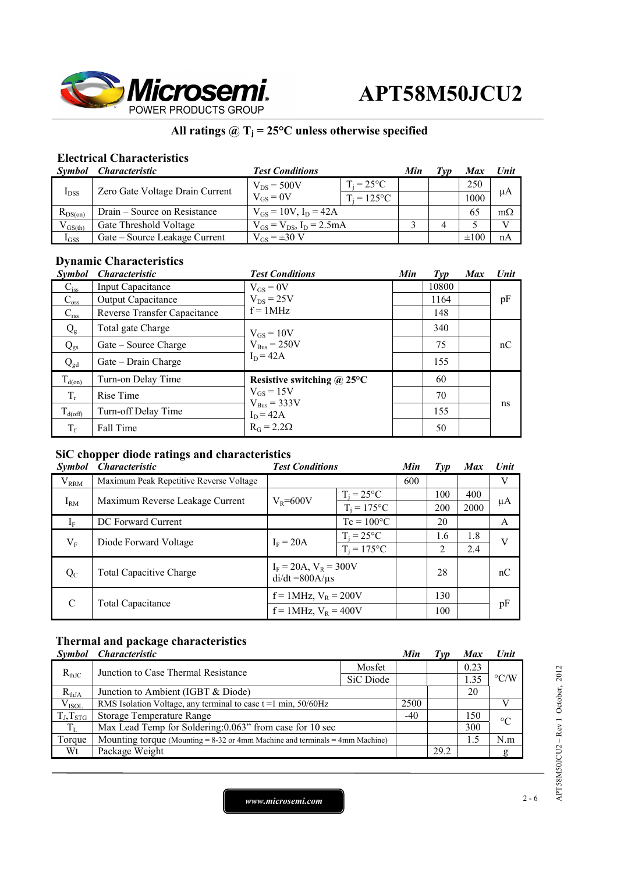

## All ratings  $@T_j = 25°C$  unless otherwise specified

## **Electrical Characteristics**

| Symbol       | <i><b>Characteristic</b></i>    | <b>Test Conditions</b>             |                     | Min | Tvp | Max       | Unit         |
|--------------|---------------------------------|------------------------------------|---------------------|-----|-----|-----------|--------------|
|              | Zero Gate Voltage Drain Current | $V_{DS}$ = 500V                    | $T_i = 25^{\circ}C$ |     |     | 250       |              |
| $I_{DSS}$    |                                 | $V_{GS} = 0V$                      | $T_i = 125$ °C      |     |     | 1000      | μA           |
| $R_{DS(on)}$ | Drain – Source on Resistance    | $V_{GS} = 10V$ , $I_D = 42A$       |                     |     |     | 65        | $m\Omega$    |
| $V_{GS(th)}$ | Gate Threshold Voltage          | $V_{GS} = V_{DS}$ , $I_D = 2.5 mA$ |                     |     |     |           | $\mathbf{V}$ |
| $I_{GSS}$    | Gate – Source Leakage Current   | $V_{GS} = \pm 30 V$                |                     |     |     | $\pm 100$ | nA           |

## **Dynamic Characteristics**

| <i>Symbol</i>       | <b>Characteristic</b>        | <b>Test Conditions</b>             | Min | $\mathcal{I}yp$ | <b>Max</b> | Unit |
|---------------------|------------------------------|------------------------------------|-----|-----------------|------------|------|
| $C_{iss}$           | Input Capacitance            | $V_{GS} = 0V$                      |     | 10800           |            |      |
| $C_{\rm oss}$       | <b>Output Capacitance</b>    | $V_{DS}$ = 25V                     |     | 1164            |            | pF   |
| $C_{\rm rss}$       | Reverse Transfer Capacitance | $f = 1MHz$                         |     | 148             |            |      |
| $Q_{\rm g}$         | Total gate Charge            | $V_{GS} = 10V$                     |     | 340             |            |      |
| $Q_{gs}$            | Gate – Source Charge         | $V_{Bus} = 250V$                   |     | 75              |            | nC   |
| $Q_{gd}$            | Gate – Drain Charge          | $I_D = 42A$                        |     | 155             |            |      |
| $T_{d(on)}$         | Turn-on Delay Time           | Resistive switching $\omega$ 25°C  |     | 60              |            |      |
| $T_r$               | Rise Time                    | $V_{GS}$ = 15V<br>$V_{Bus}$ = 333V |     | 70              |            |      |
| $T_{d(\text{off})}$ | Turn-off Delay Time          | $I_D = 42A$                        |     | 155             |            | ns   |
| $T_f$               | Fall Time                    | $R_G = 2.2\Omega$                  |     | 50              |            |      |

## **SiC chopper diode ratings and characteristics**

| <i>Symbol</i> | <i>Characteristic</i>                   | <b>Test Conditions</b>                             |                     | Min | $\mathcal{I}yp$ | <b>Max</b> | Unit |
|---------------|-----------------------------------------|----------------------------------------------------|---------------------|-----|-----------------|------------|------|
| $V_{RRM}$     | Maximum Peak Repetitive Reverse Voltage |                                                    |                     | 600 |                 |            | V    |
|               | Maximum Reverse Leakage Current         | $V_R = 600V$                                       | $T_i = 25^{\circ}C$ |     | 100             | 400        |      |
| $I_{RM}$      |                                         |                                                    | $T_i = 175$ °C      |     | 200             | 2000       | μA   |
| $I_F$         | DC Forward Current                      |                                                    | $Tc = 100^{\circ}C$ |     | 20              |            | A    |
| $V_{\rm F}$   | Diode Forward Voltage                   | $I_F = 20A$                                        | $T_i = 25^{\circ}C$ |     | 1.6             | 1.8        | V    |
|               |                                         |                                                    | $T_i = 175$ °C      |     | 2               | 2.4        |      |
| $Q_{C}$       | <b>Total Capacitive Charge</b>          | $I_F = 20A$ , $V_R = 300V$<br>$di/dt = 800A/\mu s$ |                     |     | 28              |            | nC   |
| $\mathcal{C}$ | Total Capacitance                       | $f = 1$ MHz, $V_R = 200V$                          |                     |     | 130             |            |      |
|               |                                         | $f = 1$ MHz, $V_R = 400V$                          |                     |     | 100             |            | pF   |

## **Thermal and package characteristics**

| <i>Symbol</i>  | <i><b>Characteristic</b></i>                                                      |           | Min   | $\mathbf{I} \mathbf{V} \mathbf{p}$ | <b>Max</b> | <b>Unit</b>        |  |
|----------------|-----------------------------------------------------------------------------------|-----------|-------|------------------------------------|------------|--------------------|--|
| $R_{th,IC}$    | Junction to Case Thermal Resistance                                               | Mosfet    |       |                                    | 0.23       | $\rm ^{\circ} C/W$ |  |
|                |                                                                                   | SiC Diode |       |                                    | 1.35       |                    |  |
| $R_{thJA}$     | Junction to Ambient (IGBT & Diode)                                                |           |       |                                    | 20         |                    |  |
| $V_{ISOL}$     | RMS Isolation Voltage, any terminal to case $t = 1$ min, 50/60Hz                  |           | 2500  |                                    |            |                    |  |
| $T_J, T_{STG}$ | Storage Temperature Range                                                         |           | $-40$ |                                    | 150        | $\rm ^{\circ}C$    |  |
| $T_{L}$        | Max Lead Temp for Soldering: 0.063" from case for 10 sec                          |           |       |                                    | 300        |                    |  |
| Torque         | Mounting torque (Mounting $= 8-32$ or 4mm Machine and terminals $= 4$ mm Machine) |           |       |                                    | 1.5        | N.m                |  |
| Wt             | Package Weight                                                                    |           |       | 29.2                               |            | g                  |  |

*www.microsemi.com* 2-6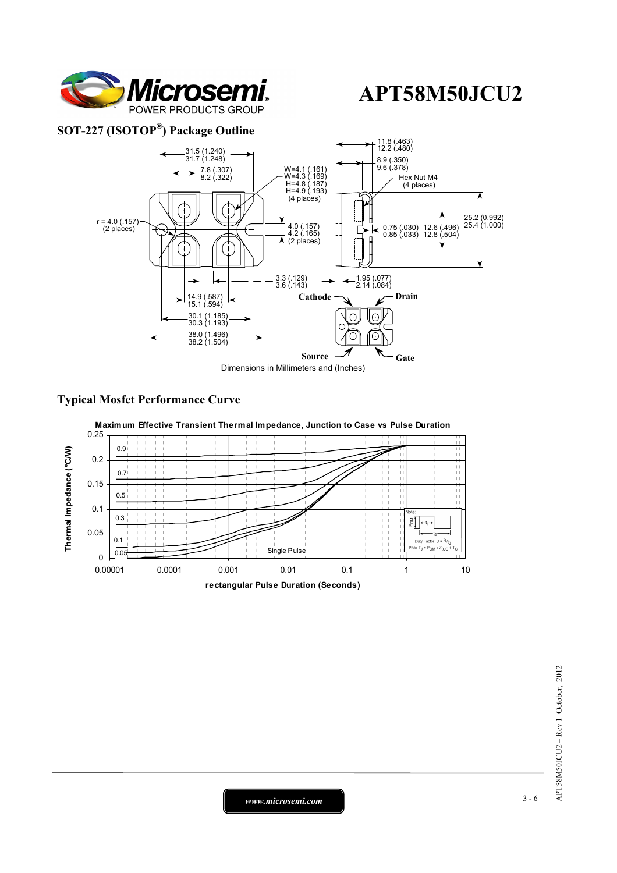

### **SOT-227 (ISOTOP®) Package Outline**



### **Typical Mosfet Performance Curve**

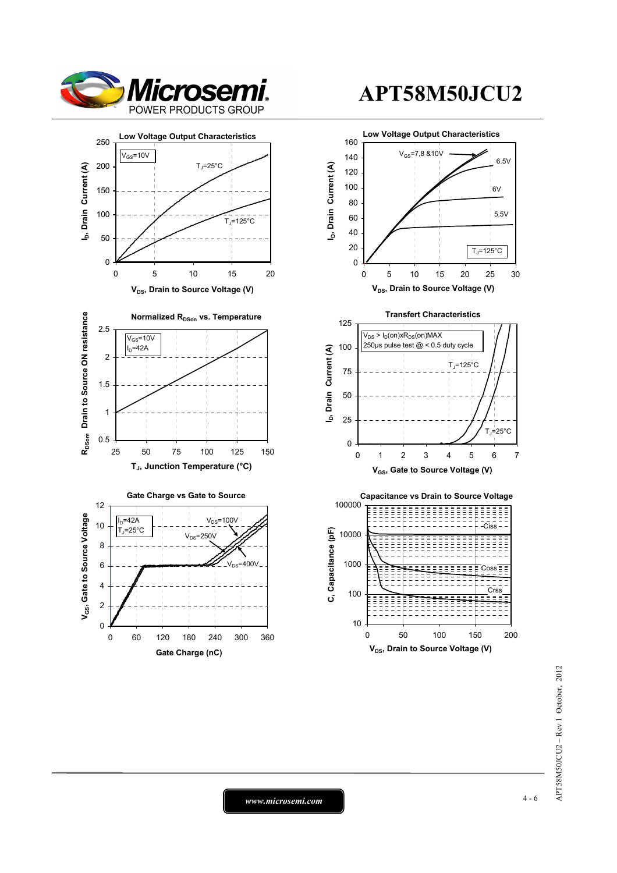







# **APT58M50JCU2**



*www.microsemi.com* 4-6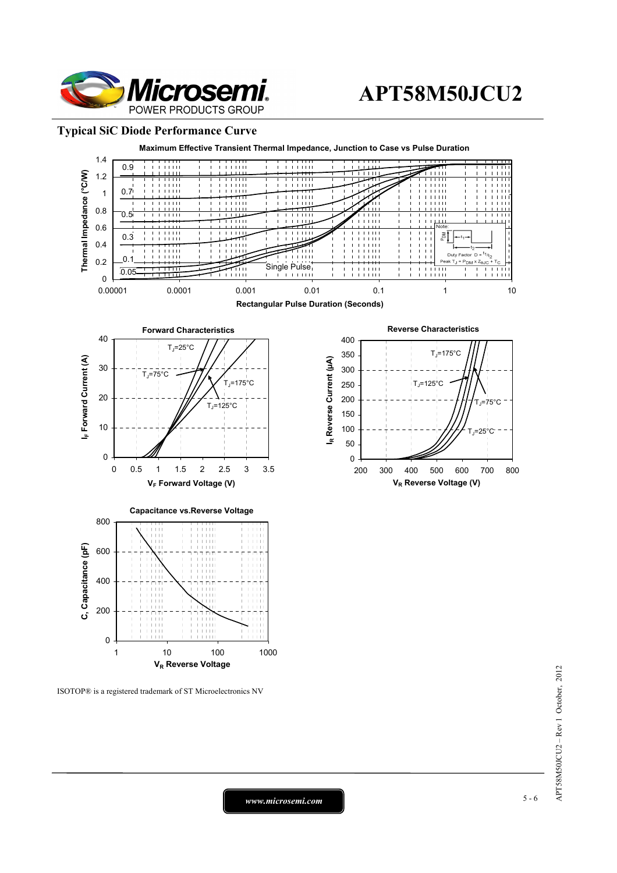

## **APT58M50JCU2**

### **Typical SiC Diode Performance Curve**



ISOTOP® is a registered trademark of ST Microelectronics NV

*www.microsemi.com* 5-6